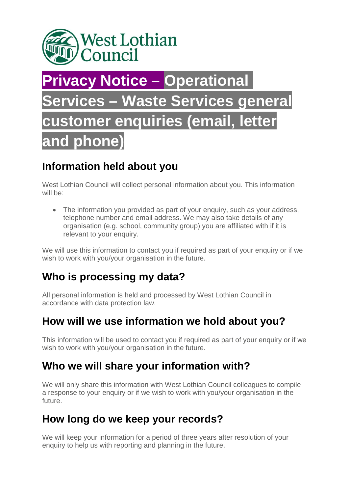

# **Privacy Notice – Operational Services – Waste Services general customer enquiries (email, letter and phone)**

#### **Information held about you**

West Lothian Council will collect personal information about you. This information will be:

• The information you provided as part of your enquiry, such as your address, telephone number and email address. We may also take details of any organisation (e.g. school, community group) you are affiliated with if it is relevant to your enquiry.

We will use this information to contact you if required as part of your enquiry or if we wish to work with you/your organisation in the future.

# **Who is processing my data?**

All personal information is held and processed by West Lothian Council in accordance with data protection law.

#### **How will we use information we hold about you?**

This information will be used to contact you if required as part of your enquiry or if we wish to work with you/your organisation in the future.

#### **Who we will share your information with?**

We will only share this information with West Lothian Council colleagues to compile a response to your enquiry or if we wish to work with you/your organisation in the future.

# **How long do we keep your records?**

We will keep your information for a period of three years after resolution of your enquiry to help us with reporting and planning in the future.